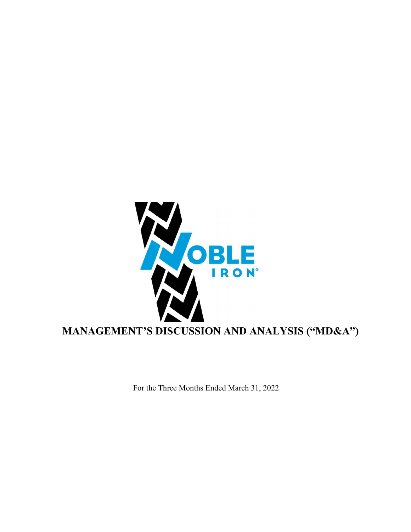

For the Three Months Ended March 31, 2022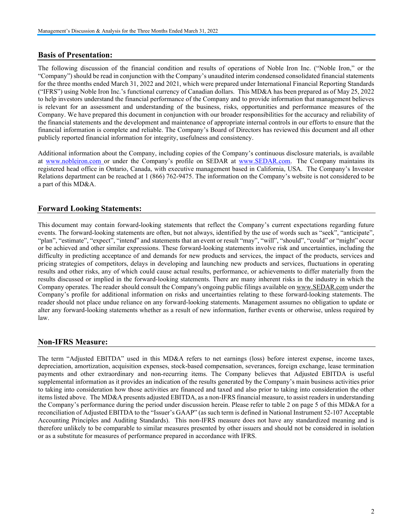# Basis of Presentation:

The following discussion of the financial condition and results of operations of Noble Iron Inc. ("Noble Iron," or the "Company") should be read in conjunction with the Company's unaudited interim condensed consolidated financial statements for the three months ended March 31, 2022 and 2021, which were prepared under International Financial Reporting Standards ("IFRS") using Noble Iron Inc.'s functional currency of Canadian dollars. This MD&A has been prepared as of May 25, 2022 to help investors understand the financial performance of the Company and to provide information that management believes is relevant for an assessment and understanding of the business, risks, opportunities and performance measures of the Company. We have prepared this document in conjunction with our broader responsibilities for the accuracy and reliability of the financial statements and the development and maintenance of appropriate internal controls in our efforts to ensure that the financial information is complete and reliable. The Company's Board of Directors has reviewed this document and all other publicly reported financial information for integrity, usefulness and consistency.

Additional information about the Company, including copies of the Company's continuous disclosure materials, is available at www.nobleiron.com or under the Company's profile on SEDAR at www.SEDAR.com. The Company maintains its registered head office in Ontario, Canada, with executive management based in California, USA. The Company's Investor Relations department can be reached at 1 (866) 762-9475. The information on the Company's website is not considered to be a part of this MD&A.

# Forward Looking Statements:

This document may contain forward-looking statements that reflect the Company's current expectations regarding future events. The forward-looking statements are often, but not always, identified by the use of words such as "seek", "anticipate", "plan", "estimate", "expect", "intend" and statements that an event or result "may", "will", "should", "could" or "might" occur or be achieved and other similar expressions. These forward-looking statements involve risk and uncertainties, including the difficulty in predicting acceptance of and demands for new products and services, the impact of the products, services and pricing strategies of competitors, delays in developing and launching new products and services, fluctuations in operating results and other risks, any of which could cause actual results, performance, or achievements to differ materially from the results discussed or implied in the forward-looking statements. There are many inherent risks in the industry in which the Company operates. The reader should consult the Company's ongoing public filings available on www.SEDAR.com under the Company's profile for additional information on risks and uncertainties relating to these forward-looking statements. The reader should not place undue reliance on any forward-looking statements. Management assumes no obligation to update or alter any forward-looking statements whether as a result of new information, further events or otherwise, unless required by law.

# Non-IFRS Measure:

The term "Adjusted EBITDA" used in this MD&A refers to net earnings (loss) before interest expense, income taxes, depreciation, amortization, acquisition expenses, stock-based compensation, severances, foreign exchange, lease termination payments and other extraordinary and non-recurring items. The Company believes that Adjusted EBITDA is useful supplemental information as it provides an indication of the results generated by the Company's main business activities prior to taking into consideration how those activities are financed and taxed and also prior to taking into consideration the other items listed above. The MD&A presents adjusted EBITDA, as a non-IFRS financial measure, to assist readers in understanding the Company's performance during the period under discussion herein. Please refer to table 2 on page 5 of this MD&A for a reconciliation of Adjusted EBITDA to the "Issuer's GAAP" (as such term is defined in National Instrument 52-107 Acceptable Accounting Principles and Auditing Standards). This non-IFRS measure does not have any standardized meaning and is therefore unlikely to be comparable to similar measures presented by other issuers and should not be considered in isolation or as a substitute for measures of performance prepared in accordance with IFRS.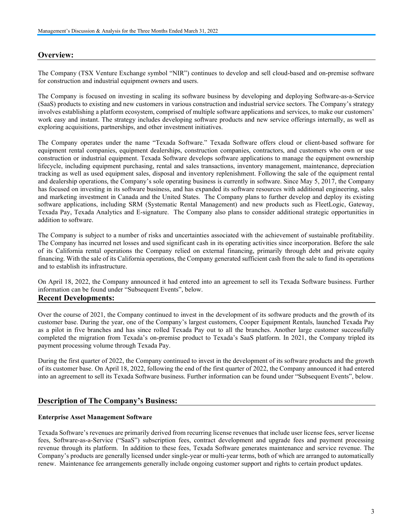### Overview:

The Company (TSX Venture Exchange symbol "NIR") continues to develop and sell cloud-based and on-premise software for construction and industrial equipment owners and users.

The Company is focused on investing in scaling its software business by developing and deploying Software-as-a-Service (SaaS) products to existing and new customers in various construction and industrial service sectors. The Company's strategy involves establishing a platform ecosystem, comprised of multiple software applications and services, to make our customers' work easy and instant. The strategy includes developing software products and new service offerings internally, as well as exploring acquisitions, partnerships, and other investment initiatives.

The Company operates under the name "Texada Software." Texada Software offers cloud or client-based software for equipment rental companies, equipment dealerships, construction companies, contractors, and customers who own or use construction or industrial equipment. Texada Software develops software applications to manage the equipment ownership lifecycle, including equipment purchasing, rental and sales transactions, inventory management, maintenance, depreciation tracking as well as used equipment sales, disposal and inventory replenishment. Following the sale of the equipment rental and dealership operations, the Company's sole operating business is currently in software. Since May 5, 2017, the Company has focused on investing in its software business, and has expanded its software resources with additional engineering, sales and marketing investment in Canada and the United States. The Company plans to further develop and deploy its existing software applications, including SRM (Systematic Rental Management) and new products such as FleetLogic, Gateway, Texada Pay, Texada Analytics and E-signature. The Company also plans to consider additional strategic opportunities in addition to software.

The Company is subject to a number of risks and uncertainties associated with the achievement of sustainable profitability. The Company has incurred net losses and used significant cash in its operating activities since incorporation. Before the sale of its California rental operations the Company relied on external financing, primarily through debt and private equity financing. With the sale of its California operations, the Company generated sufficient cash from the sale to fund its operations and to establish its infrastructure.

On April 18, 2022, the Company announced it had entered into an agreement to sell its Texada Software business. Further information can be found under "Subsequent Events", below.

#### Recent Developments:

Over the course of 2021, the Company continued to invest in the development of its software products and the growth of its customer base. During the year, one of the Company's largest customers, Cooper Equipment Rentals, launched Texada Pay as a pilot in five branches and has since rolled Texada Pay out to all the branches. Another large customer successfully completed the migration from Texada's on-premise product to Texada's SaaS platform. In 2021, the Company tripled its payment processing volume through Texada Pay.

During the first quarter of 2022, the Company continued to invest in the development of its software products and the growth of its customer base. On April 18, 2022, following the end of the first quarter of 2022, the Company announced it had entered into an agreement to sell its Texada Software business. Further information can be found under "Subsequent Events", below.

# Description of The Company's Business:

#### Enterprise Asset Management Software

Texada Software's revenues are primarily derived from recurring license revenues that include user license fees, server license fees, Software-as-a-Service ("SaaS") subscription fees, contract development and upgrade fees and payment processing revenue through its platform. In addition to these fees, Texada Software generates maintenance and service revenue. The Company's products are generally licensed under single-year or multi-year terms, both of which are arranged to automatically renew. Maintenance fee arrangements generally include ongoing customer support and rights to certain product updates.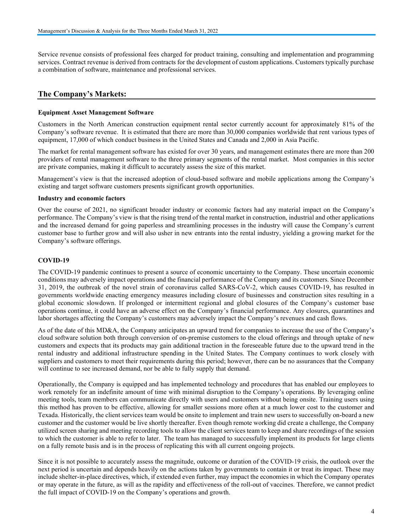Service revenue consists of professional fees charged for product training, consulting and implementation and programming services. Contract revenue is derived from contracts for the development of custom applications. Customers typically purchase a combination of software, maintenance and professional services.

# The Company's Markets:

#### Equipment Asset Management Software

Customers in the North American construction equipment rental sector currently account for approximately 81% of the Company's software revenue. It is estimated that there are more than 30,000 companies worldwide that rent various types of equipment, 17,000 of which conduct business in the United States and Canada and 2,000 in Asia Pacific.

The market for rental management software has existed for over 30 years, and management estimates there are more than 200 providers of rental management software to the three primary segments of the rental market. Most companies in this sector are private companies, making it difficult to accurately assess the size of this market.

Management's view is that the increased adoption of cloud-based software and mobile applications among the Company's existing and target software customers presents significant growth opportunities.

#### Industry and economic factors

Over the course of 2021, no significant broader industry or economic factors had any material impact on the Company's performance. The Company's view is that the rising trend of the rental market in construction, industrial and other applications and the increased demand for going paperless and streamlining processes in the industry will cause the Company's current customer base to further grow and will also usher in new entrants into the rental industry, yielding a growing market for the Company's software offerings.

#### COVID-19

The COVID-19 pandemic continues to present a source of economic uncertainty to the Company. These uncertain economic conditions may adversely impact operations and the financial performance of the Company and its customers. Since December 31, 2019, the outbreak of the novel strain of coronavirus called SARS-CoV-2, which causes COVID-19, has resulted in governments worldwide enacting emergency measures including closure of businesses and construction sites resulting in a global economic slowdown. If prolonged or intermittent regional and global closures of the Company's customer base operations continue, it could have an adverse effect on the Company's financial performance. Any closures, quarantines and labor shortages affecting the Company's customers may adversely impact the Company's revenues and cash flows.

As of the date of this MD&A, the Company anticipates an upward trend for companies to increase the use of the Company's cloud software solution both through conversion of on-premise customers to the cloud offerings and through uptake of new customers and expects that its products may gain additional traction in the foreseeable future due to the upward trend in the rental industry and additional infrastructure spending in the United States. The Company continues to work closely with suppliers and customers to meet their requirements during this period; however, there can be no assurances that the Company will continue to see increased demand, nor be able to fully supply that demand.

Operationally, the Company is equipped and has implemented technology and procedures that has enabled our employees to work remotely for an indefinite amount of time with minimal disruption to the Company's operations. By leveraging online meeting tools, team members can communicate directly with users and customers without being onsite. Training users using this method has proven to be effective, allowing for smaller sessions more often at a much lower cost to the customer and Texada. Historically, the client services team would be onsite to implement and train new users to successfully on-board a new customer and the customer would be live shortly thereafter. Even though remote working did create a challenge, the Company utilized screen sharing and meeting recording tools to allow the client services team to keep and share recordings of the session to which the customer is able to refer to later. The team has managed to successfully implement its products for large clients on a fully remote basis and is in the process of replicating this with all current ongoing projects.

Since it is not possible to accurately assess the magnitude, outcome or duration of the COVID-19 crisis, the outlook over the next period is uncertain and depends heavily on the actions taken by governments to contain it or treat its impact. These may include shelter-in-place directives, which, if extended even further, may impact the economies in which the Company operates or may operate in the future, as will as the rapidity and effectiveness of the roll-out of vaccines. Therefore, we cannot predict the full impact of COVID-19 on the Company's operations and growth.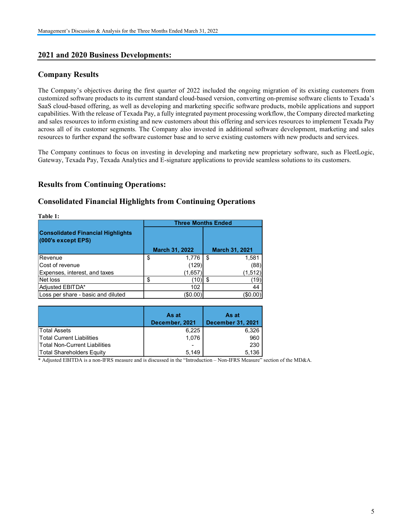# 2021 and 2020 Business Developments:

# Company Results

# Results from Continuing Operations:

# Consolidated Financial Highlights from Continuing Operations

| resources to further expand the software customer base and to serve existing customers with new products and services. |                 |                           | The Company's objectives during the first quarter of 2022 included the ongoing migration of its existing customers from<br>customized software products to its current standard cloud-based version, converting on-premise software clients to Texada's<br>SaaS cloud-based offering, as well as developing and marketing specific software products, mobile applications and support<br>capabilities. With the release of Texada Pay, a fully integrated payment processing workflow, the Company directed marketing<br>and sales resources to inform existing and new customers about this offering and services resources to implement Texada Pay<br>across all of its customer segments. The Company also invested in additional software development, marketing and sales |  |
|------------------------------------------------------------------------------------------------------------------------|-----------------|---------------------------|--------------------------------------------------------------------------------------------------------------------------------------------------------------------------------------------------------------------------------------------------------------------------------------------------------------------------------------------------------------------------------------------------------------------------------------------------------------------------------------------------------------------------------------------------------------------------------------------------------------------------------------------------------------------------------------------------------------------------------------------------------------------------------|--|
| Gateway, Texada Pay, Texada Analytics and E-signature applications to provide seamless solutions to its customers.     |                 |                           | The Company continues to focus on investing in developing and marketing new proprietary software, such as FleetLogic,                                                                                                                                                                                                                                                                                                                                                                                                                                                                                                                                                                                                                                                          |  |
| <b>Results from Continuing Operations:</b>                                                                             |                 |                           |                                                                                                                                                                                                                                                                                                                                                                                                                                                                                                                                                                                                                                                                                                                                                                                |  |
| <b>Consolidated Financial Highlights from Continuing Operations</b>                                                    |                 |                           |                                                                                                                                                                                                                                                                                                                                                                                                                                                                                                                                                                                                                                                                                                                                                                                |  |
| Table 1:                                                                                                               |                 |                           |                                                                                                                                                                                                                                                                                                                                                                                                                                                                                                                                                                                                                                                                                                                                                                                |  |
|                                                                                                                        |                 | <b>Three Months Ended</b> |                                                                                                                                                                                                                                                                                                                                                                                                                                                                                                                                                                                                                                                                                                                                                                                |  |
| <b>Consolidated Financial Highlights</b>                                                                               |                 |                           |                                                                                                                                                                                                                                                                                                                                                                                                                                                                                                                                                                                                                                                                                                                                                                                |  |
| (000's except EPS)                                                                                                     |                 |                           |                                                                                                                                                                                                                                                                                                                                                                                                                                                                                                                                                                                                                                                                                                                                                                                |  |
|                                                                                                                        | March 31, 2022  | March 31, 2021            |                                                                                                                                                                                                                                                                                                                                                                                                                                                                                                                                                                                                                                                                                                                                                                                |  |
| Revenue                                                                                                                | \$<br>1,776     | \$<br>1,581               |                                                                                                                                                                                                                                                                                                                                                                                                                                                                                                                                                                                                                                                                                                                                                                                |  |
| Cost of revenue                                                                                                        | (129)           | (88)                      |                                                                                                                                                                                                                                                                                                                                                                                                                                                                                                                                                                                                                                                                                                                                                                                |  |
| Expenses, interest, and taxes                                                                                          | (1,657)         | (1, 512)                  |                                                                                                                                                                                                                                                                                                                                                                                                                                                                                                                                                                                                                                                                                                                                                                                |  |
| Net loss                                                                                                               | \$<br>$(10)$ \$ | (19)                      |                                                                                                                                                                                                                                                                                                                                                                                                                                                                                                                                                                                                                                                                                                                                                                                |  |
| Adjusted EBITDA*                                                                                                       | 102             | 44                        |                                                                                                                                                                                                                                                                                                                                                                                                                                                                                                                                                                                                                                                                                                                                                                                |  |
| Loss per share - basic and diluted                                                                                     | (\$0.00)        | (\$0.00)                  |                                                                                                                                                                                                                                                                                                                                                                                                                                                                                                                                                                                                                                                                                                                                                                                |  |
|                                                                                                                        |                 |                           |                                                                                                                                                                                                                                                                                                                                                                                                                                                                                                                                                                                                                                                                                                                                                                                |  |
|                                                                                                                        | As at           | As at                     |                                                                                                                                                                                                                                                                                                                                                                                                                                                                                                                                                                                                                                                                                                                                                                                |  |
| <b>Total Assets</b>                                                                                                    | December, 2021  | <b>December 31, 2021</b>  |                                                                                                                                                                                                                                                                                                                                                                                                                                                                                                                                                                                                                                                                                                                                                                                |  |
| <b>Total Current Liabilities</b>                                                                                       | 6,225<br>1,076  | 6,326<br>960              |                                                                                                                                                                                                                                                                                                                                                                                                                                                                                                                                                                                                                                                                                                                                                                                |  |
| <b>Total Non-Current Liabilities</b>                                                                                   |                 | 230                       |                                                                                                                                                                                                                                                                                                                                                                                                                                                                                                                                                                                                                                                                                                                                                                                |  |
| <b>Total Shareholders Equity</b>                                                                                       | 5,149           | 5,136                     |                                                                                                                                                                                                                                                                                                                                                                                                                                                                                                                                                                                                                                                                                                                                                                                |  |
| * Adjusted EBITDA is a non-IFRS measure and is discussed in the "Introduction - Non-IFRS Measure" section of the MD&A. |                 |                           |                                                                                                                                                                                                                                                                                                                                                                                                                                                                                                                                                                                                                                                                                                                                                                                |  |
|                                                                                                                        |                 |                           |                                                                                                                                                                                                                                                                                                                                                                                                                                                                                                                                                                                                                                                                                                                                                                                |  |
|                                                                                                                        |                 |                           |                                                                                                                                                                                                                                                                                                                                                                                                                                                                                                                                                                                                                                                                                                                                                                                |  |
|                                                                                                                        |                 |                           |                                                                                                                                                                                                                                                                                                                                                                                                                                                                                                                                                                                                                                                                                                                                                                                |  |
|                                                                                                                        |                 |                           |                                                                                                                                                                                                                                                                                                                                                                                                                                                                                                                                                                                                                                                                                                                                                                                |  |
|                                                                                                                        |                 |                           |                                                                                                                                                                                                                                                                                                                                                                                                                                                                                                                                                                                                                                                                                                                                                                                |  |

|                               | As at                    | As at                    |
|-------------------------------|--------------------------|--------------------------|
|                               | December, 2021           | <b>December 31, 2021</b> |
| <b>Total Assets</b>           | 6,225                    | 6,326                    |
| Total Current Liabilities     | 1,076                    | 960                      |
| Total Non-Current Liabilities | $\overline{\phantom{0}}$ | 230                      |
| Total Shareholders Equity     | 5.149                    | 5.136                    |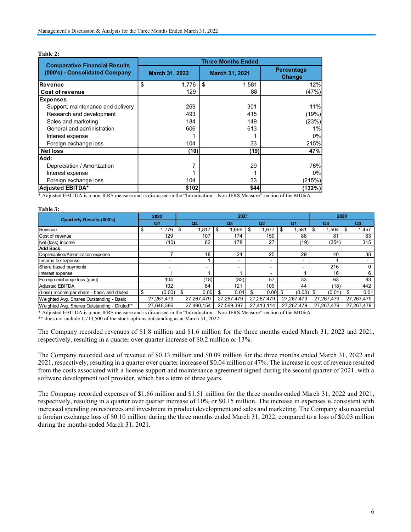| Management's Discussion & Analysis for the Three Months Ended March 31, 2022                                           |                       |            |                                      |             |                                    |                |                |                       |
|------------------------------------------------------------------------------------------------------------------------|-----------------------|------------|--------------------------------------|-------------|------------------------------------|----------------|----------------|-----------------------|
|                                                                                                                        |                       |            |                                      |             |                                    |                |                |                       |
|                                                                                                                        |                       |            |                                      |             |                                    |                |                |                       |
| Table 2:                                                                                                               |                       |            |                                      |             |                                    |                |                |                       |
| <b>Comparative Financial Results</b>                                                                                   |                       |            | <b>Three Months Ended</b>            |             |                                    |                |                |                       |
| (000's) - Consolidated Company                                                                                         | March 31, 2022        |            | March 31, 2021                       |             | Percentage                         |                |                |                       |
|                                                                                                                        |                       |            |                                      |             | Change                             |                |                |                       |
| Revenue                                                                                                                | \$                    |            |                                      | 1,581       |                                    | 12%            |                |                       |
| Cost of revenue                                                                                                        |                       | 129        |                                      | 88          |                                    | (47%)          |                |                       |
| <b>Expenses</b>                                                                                                        |                       |            |                                      |             |                                    |                |                |                       |
| Support, maintenance and delivery                                                                                      |                       | 269<br>493 |                                      | 301<br>415  |                                    | 11%            |                |                       |
| Research and development<br>Sales and marketing                                                                        |                       | 184        |                                      | 149         |                                    | (19%)<br>(23%) |                |                       |
| General and administration                                                                                             |                       | 606        |                                      | 613         |                                    | 1%             |                |                       |
|                                                                                                                        |                       |            |                                      |             |                                    |                |                |                       |
| Interest expense                                                                                                       | -1                    |            | 1                                    |             | 0%<br>215%                         |                |                |                       |
| Foreign exchange loss<br><b>Net loss</b>                                                                               | 104<br>(10)           |            | 33<br>(19)                           |             | 47%                                |                |                |                       |
| Add:                                                                                                                   |                       |            |                                      |             |                                    |                |                |                       |
| Depreciation / Amortization                                                                                            |                       | 7          |                                      | 29          |                                    | 76%            |                |                       |
| Interest expense                                                                                                       |                       | -1         |                                      | $\mathbf 1$ |                                    | 0%             |                |                       |
| Foreign exchange loss                                                                                                  |                       | 104        |                                      | 33          |                                    | (215%)         |                |                       |
| Adjusted EBITDA*                                                                                                       |                       | \$102      |                                      | \$44        |                                    | (132%)         |                |                       |
| * Adjusted EBITDA is a non-IFRS measure and is discussed in the "Introduction - Non-IFRS Measure" section of the MD&A. |                       |            |                                      |             |                                    |                |                |                       |
|                                                                                                                        |                       |            |                                      |             |                                    |                |                |                       |
| Table 3:                                                                                                               |                       |            | 2021                                 |             |                                    |                | 2020           |                       |
| <b>Quarterly Results (000's)</b>                                                                                       | 2022<br>Q1            | Q4         | Q3                                   | Q2          | Q1                                 |                | Q4             | Q3                    |
| Revenue                                                                                                                | $1,776$ \$<br>\$      | $1,817$ \$ | $1,666$ \$                           |             | $1,677$ \\$<br>$1,581$ \$          |                | $1,504$ \$     | 1,457                 |
| Cost of revenue                                                                                                        | 129                   | 107        | $\frac{174}{ }$                      | 150         | 88                                 |                | 81             | 63                    |
| Net (loss) income                                                                                                      | (10)                  | 82         | 178                                  |             | 27<br>(19)                         |                | (354)          | 315                   |
| Add Back:<br>Depreciation/Amortization expense                                                                         | $\overline{7}$        | 18         | 24                                   |             | 25<br>29                           |                | 40             | 38                    |
|                                                                                                                        | $\sim$                |            | $\mathbf{1}$<br>$\sim$               |             | $\sim$<br>$\sim$                   |                | $\overline{1}$ | $\sim$                |
|                                                                                                                        |                       |            |                                      |             |                                    |                |                | $\mathbf 0$           |
|                                                                                                                        | $\sim$                | $\sim$     | $\sim$                               |             | $\sim$<br>$\sim$                   |                | 216            |                       |
| Income tax expense<br>Share based payments<br>Interest expense<br>Foreign exchange loss (gain)                         | $\overline{1}$<br>104 | (18)       | $\mathbf{1}$<br>$\mathbf{1}$<br>(82) |             | $\mathbf{1}$<br>$\sim$<br>57<br>33 |                | 16<br>63       | $6\phantom{.0}$<br>83 |

#### Table 3:

| Support, maintenance and delivery                                                                                                          |                           | 269                |                    | 301                     |                           | 11%                  |                   |  |
|--------------------------------------------------------------------------------------------------------------------------------------------|---------------------------|--------------------|--------------------|-------------------------|---------------------------|----------------------|-------------------|--|
| Research and development                                                                                                                   |                           | 493                |                    | 415                     | (19%)                     |                      |                   |  |
| Sales and marketing                                                                                                                        |                           | 184                |                    | 149                     |                           | (23%)                |                   |  |
| General and administration                                                                                                                 |                           | 606                |                    | 613                     | 1%                        |                      |                   |  |
| Interest expense                                                                                                                           |                           |                    |                    |                         | 0%                        |                      |                   |  |
| Foreign exchange loss                                                                                                                      |                           | 104                |                    | 33                      | 215%                      |                      |                   |  |
| <b>Net loss</b>                                                                                                                            |                           | (10)               |                    | (19)                    | 47%                       |                      |                   |  |
| Add:                                                                                                                                       |                           |                    |                    |                         |                           |                      |                   |  |
| Depreciation / Amortization                                                                                                                |                           |                    |                    | 29                      |                           | 76%                  |                   |  |
| Interest expense                                                                                                                           |                           |                    |                    |                         | 0%                        |                      |                   |  |
|                                                                                                                                            | 104                       |                    |                    |                         | (215%)                    |                      |                   |  |
| Foreign exchange loss                                                                                                                      |                           |                    |                    | 33                      |                           |                      |                   |  |
| Adjusted EBITDA*<br>* Adjusted EBITDA is a non-IFRS measure and is discussed in the "Introduction - Non-IFRS Measure" section of the MD&A. |                           | \$102              |                    | \$44                    |                           | (132%)               |                   |  |
| Table 3:                                                                                                                                   | 2022                      |                    | 2021               |                         |                           |                      | 2020              |  |
| <b>Quarterly Results (000's)</b>                                                                                                           | Q1                        | Q4                 | Q3                 | Q2                      | Q1                        | Q4                   | Q3                |  |
| Revenue                                                                                                                                    | $1,776$ \$<br>\$          | $1,817$ \$         | 1,666<br>\$        | $1,677$ \$              | 1,581                     | $1,504$ \$<br>l \$   | 1,457             |  |
| Cost of revenue                                                                                                                            | 129                       | 107                | 174                | 150                     | 88                        | 81                   | 63                |  |
| Net (loss) income                                                                                                                          | (10)                      | 82                 | 178                | 27                      | (19)                      | (354)                | 315               |  |
| Add Back:                                                                                                                                  |                           |                    |                    |                         |                           |                      |                   |  |
| Depreciation/Amortization expense                                                                                                          | $\overline{7}$            | 18                 | 24                 | 25                      | 29                        | 40                   | 38                |  |
| Income tax expense                                                                                                                         |                           | $\mathbf 1$        |                    |                         |                           | -1<br>216            |                   |  |
| Share based payments<br>Interest expense                                                                                                   | $\overline{\phantom{a}}$  |                    |                    |                         |                           | 16                   | $\Omega$<br>6     |  |
|                                                                                                                                            |                           |                    | (82)               | 57                      | 33                        | 63                   | 83                |  |
|                                                                                                                                            |                           |                    |                    |                         |                           |                      |                   |  |
|                                                                                                                                            | 104                       | (18)               |                    |                         |                           |                      |                   |  |
| Foreign exchange loss (gain)<br>Adjusted EBITDA                                                                                            | 102                       | 84                 | 121<br>\$          | 109<br>- \$             | 44                        | (18)                 | 442<br>0.01<br>\$ |  |
| (Loss) Income per share - basic and diluted                                                                                                | $(0.00)$ \$<br>27,267,479 | 0.00<br>27,267,479 | 0.01<br>27,267,479 | $0.00$ \$<br>27,267,479 | $(0.00)$ \$<br>27,267,479 | (0.01)<br>27,267,479 | 27,267,479        |  |
| Weighted Avg. Shares Outstanding - Basic<br>Weighted Avg. Shares Outstanding - Diluted**                                                   | 27,646,386                | 27,490,154         | 27,569,397         | 27,413,114              | 27,267,479                | 27,267,479           | 27,267,479        |  |

The Company recorded revenues of \$1.8 million and \$1.6 million for the three months ended March 31, 2022 and 2021, respectively, resulting in a quarter over quarter increase of \$0.2 million or 13%.

The Company recorded cost of revenue of \$0.13 million and \$0.09 million for the three months ended March 31, 2022 and 2021, respectively, resulting in a quarter over quarter increase of \$0.04 million or 47%. The increase in cost of revenue resulted from the costs associated with a license support and maintenance agreement signed during the second quarter of 2021, with a software development tool provider, which has a term of three years.

The Company recorded expenses of \$1.66 million and \$1.51 million for the three months ended March 31, 2022 and 2021, respectively, resulting in a quarter over quarter increase of 10% or \$0.15 million. The increase in expenses is consistent with increased spending on resources and investment in product development and sales and marketing. The Company also recorded a foreign exchange loss of \$0.10 million during the three months ended March 31, 2022, compared to a loss of \$0.03 million during the months ended March 31, 2021.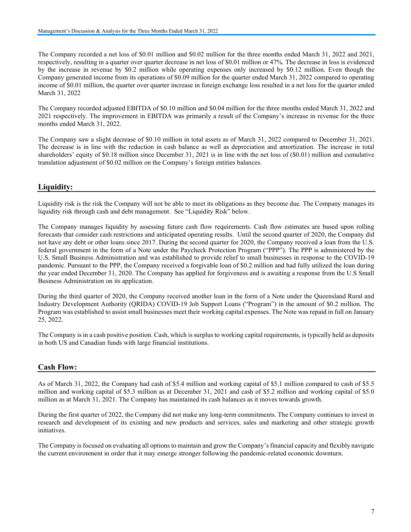The Company recorded a net loss of \$0.01 million and \$0.02 million for the three months ended March 31, 2022 and 2021, respectively, resulting in a quarter over quarter decrease in net loss of \$0.01 million or 47%. The decrease in loss is evidenced by the increase in revenue by \$0.2 million while operating expenses only increased by \$0.12 million. Even though the Company generated income from its operations of \$0.09 million for the quarter ended March 31, 2022 compared to operating income of \$0.01 million, the quarter over quarter increase in foreign exchange loss resulted in a net loss for the quarter ended March 31, 2022

The Company recorded adjusted EBITDA of \$0.10 million and \$0.04 million for the three months ended March 31, 2022 and 2021 respectively. The improvement in EBITDA was primarily a result of the Company's increase in revenue for the three months ended March 31, 2022.

The Company saw a slight decrease of \$0.10 million in total assets as of March 31, 2022 compared to December 31, 2021. The decrease is in line with the reduction in cash balance as well as depreciation and amortization. The increase in total shareholders' equity of \$0.18 million since December 31, 2021 is in line with the net loss of (\$0.01) million and cumulative translation adjustment of \$0.02 million on the Company's foreign entities balances.

# Liquidity:

Liquidity risk is the risk the Company will not be able to meet its obligations as they become due. The Company manages its liquidity risk through cash and debt management. See "Liquidity Risk" below.

The Company manages liquidity by assessing future cash flow requirements. Cash flow estimates are based upon rolling forecasts that consider cash restrictions and anticipated operating results. Until the second quarter of 2020, the Company did not have any debt or other loans since 2017. During the second quarter for 2020, the Company received a loan from the U.S. federal government in the form of a Note under the Paycheck Protection Program ("PPP"). The PPP is administered by the U.S. Small Business Administration and was established to provide relief to small businesses in response to the COVID-19 pandemic. Pursuant to the PPP, the Company received a forgivable loan of \$0.2 million and had fully utilized the loan during the year ended December 31, 2020. The Company has applied for forgiveness and is awaiting a response from the U.S Small Business Administration on its application.

During the third quarter of 2020, the Company received another loan in the form of a Note under the Queensland Rural and Industry Development Authority (QRIDA) COVID-19 Job Support Loans ("Program") in the amount of \$0.2 million. The Program was established to assist small businesses meet their working capital expenses. The Note was repaid in full on January 25, 2022.

The Company is in a cash positive position. Cash, which is surplus to working capital requirements, is typically held as deposits in both US and Canadian funds with large financial institutions.

# Cash Flow:

As of March 31, 2022, the Company had cash of \$5.4 million and working capital of \$5.1 million compared to cash of \$5.5 million and working capital of \$5.3 million as at December 31, 2021 and cash of \$5.2 million and working capital of \$5.0 million as at March 31, 2021. The Company has maintained its cash balances as it moves towards growth.

During the first quarter of 2022, the Company did not make any long-term commitments. The Company continues to invest in research and development of its existing and new products and services, sales and marketing and other strategic growth initiatives.

The Company is focused on evaluating all options to maintain and grow the Company's financial capacity and flexibly navigate the current environment in order that it may emerge stronger following the pandemic-related economic downturn.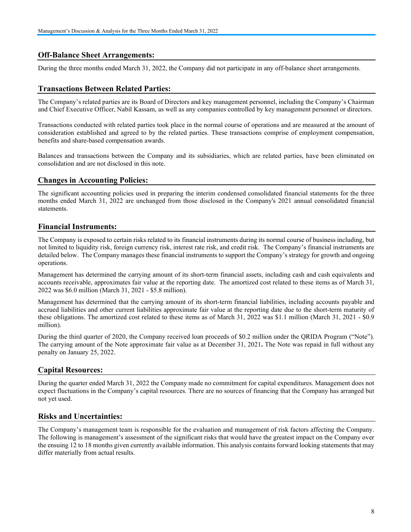# Off-Balance Sheet Arrangements:

During the three months ended March 31, 2022, the Company did not participate in any off-balance sheet arrangements.

#### Transactions Between Related Parties:

The Company's related parties are its Board of Directors and key management personnel, including the Company's Chairman and Chief Executive Officer, Nabil Kassam, as well as any companies controlled by key management personnel or directors.

Transactions conducted with related parties took place in the normal course of operations and are measured at the amount of consideration established and agreed to by the related parties. These transactions comprise of employment compensation, benefits and share-based compensation awards.

Balances and transactions between the Company and its subsidiaries, which are related parties, have been eliminated on consolidation and are not disclosed in this note.

### Changes in Accounting Policies:

The significant accounting policies used in preparing the interim condensed consolidated financial statements for the three months ended March 31, 2022 are unchanged from those disclosed in the Company's 2021 annual consolidated financial statements.

# Financial Instruments:

The Company is exposed to certain risks related to its financial instruments during its normal course of business including, but not limited to liquidity risk, foreign currency risk, interest rate risk, and credit risk. The Company's financial instruments are detailed below. The Company manages these financial instruments to support the Company's strategy for growth and ongoing operations.

Management has determined the carrying amount of its short-term financial assets, including cash and cash equivalents and accounts receivable, approximates fair value at the reporting date. The amortized cost related to these items as of March 31, 2022 was \$6.0 million (March 31, 2021 - \$5.8 million).

Management has determined that the carrying amount of its short-term financial liabilities, including accounts payable and accrued liabilities and other current liabilities approximate fair value at the reporting date due to the short-term maturity of these obligations. The amortized cost related to these items as of March 31, 2022 was \$1.1 million (March 31, 2021 - \$0.9 million).

During the third quarter of 2020, the Company received loan proceeds of \$0.2 million under the QRIDA Program ("Note"). The carrying amount of the Note approximate fair value as at December 31, 2021. The Note was repaid in full without any penalty on January 25, 2022.

# Capital Resources:

During the quarter ended March 31, 2022 the Company made no commitment for capital expenditures. Management does not expect fluctuations in the Company's capital resources. There are no sources of financing that the Company has arranged but not yet used.

#### Risks and Uncertainties:

The Company's management team is responsible for the evaluation and management of risk factors affecting the Company. The following is management's assessment of the significant risks that would have the greatest impact on the Company over the ensuing 12 to 18 months given currently available information. This analysis contains forward looking statements that may differ materially from actual results.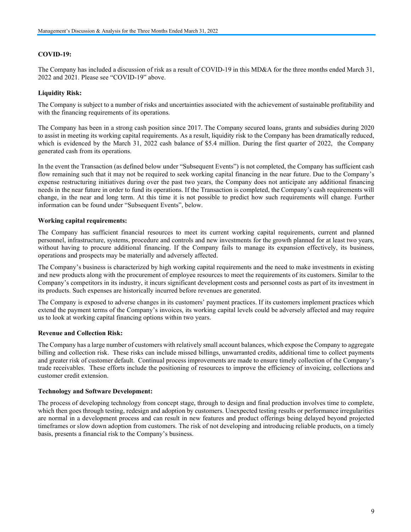#### COVID-19:

The Company has included a discussion of risk as a result of COVID-19 in this MD&A for the three months ended March 31, 2022 and 2021. Please see "COVID-19" above.

#### Liquidity Risk:

The Company is subject to a number of risks and uncertainties associated with the achievement of sustainable profitability and with the financing requirements of its operations.

The Company has been in a strong cash position since 2017. The Company secured loans, grants and subsidies during 2020 to assist in meeting its working capital requirements. As a result, liquidity risk to the Company has been dramatically reduced, which is evidenced by the March 31, 2022 cash balance of \$5.4 million. During the first quarter of 2022, the Company generated cash from its operations.

In the event the Transaction (as defined below under "Subsequent Events") is not completed, the Company has sufficient cash flow remaining such that it may not be required to seek working capital financing in the near future. Due to the Company's expense restructuring initiatives during over the past two years, the Company does not anticipate any additional financing needs in the near future in order to fund its operations. If the Transaction is completed, the Company's cash requirements will change, in the near and long term. At this time it is not possible to predict how such requirements will change. Further information can be found under "Subsequent Events", below.

#### Working capital requirements:

The Company has sufficient financial resources to meet its current working capital requirements, current and planned personnel, infrastructure, systems, procedure and controls and new investments for the growth planned for at least two years, without having to procure additional financing. If the Company fails to manage its expansion effectively, its business, operations and prospects may be materially and adversely affected.

The Company's business is characterized by high working capital requirements and the need to make investments in existing and new products along with the procurement of employee resources to meet the requirements of its customers. Similar to the Company's competitors in its industry, it incurs significant development costs and personnel costs as part of its investment in its products. Such expenses are historically incurred before revenues are generated.

The Company is exposed to adverse changes in its customers' payment practices. If its customers implement practices which extend the payment terms of the Company's invoices, its working capital levels could be adversely affected and may require us to look at working capital financing options within two years.

#### Revenue and Collection Risk:

The Company has a large number of customers with relatively small account balances, which expose the Company to aggregate billing and collection risk. These risks can include missed billings, unwarranted credits, additional time to collect payments and greater risk of customer default. Continual process improvements are made to ensure timely collection of the Company's trade receivables. These efforts include the positioning of resources to improve the efficiency of invoicing, collections and customer credit extension.

#### Technology and Software Development:

The process of developing technology from concept stage, through to design and final production involves time to complete, which then goes through testing, redesign and adoption by customers. Unexpected testing results or performance irregularities are normal in a development process and can result in new features and product offerings being delayed beyond projected timeframes or slow down adoption from customers. The risk of not developing and introducing reliable products, on a timely basis, presents a financial risk to the Company's business.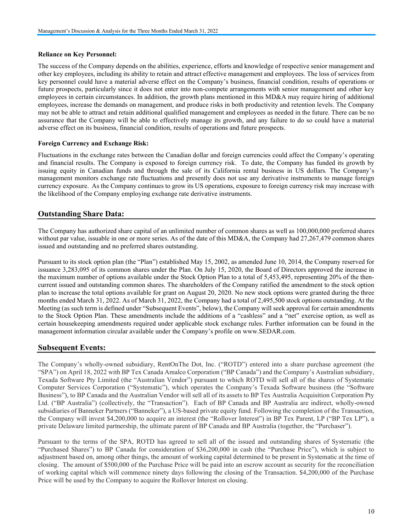#### Reliance on Key Personnel:

The success of the Company depends on the abilities, experience, efforts and knowledge of respective senior management and other key employees, including its ability to retain and attract effective management and employees. The loss of services from key personnel could have a material adverse effect on the Company's business, financial condition, results of operations or future prospects, particularly since it does not enter into non-compete arrangements with senior management and other key employees in certain circumstances. In addition, the growth plans mentioned in this MD&A may require hiring of additional employees, increase the demands on management, and produce risks in both productivity and retention levels. The Company may not be able to attract and retain additional qualified management and employees as needed in the future. There can be no assurance that the Company will be able to effectively manage its growth, and any failure to do so could have a material adverse effect on its business, financial condition, results of operations and future prospects.

#### Foreign Currency and Exchange Risk:

Fluctuations in the exchange rates between the Canadian dollar and foreign currencies could affect the Company's operating and financial results. The Company is exposed to foreign currency risk. To date, the Company has funded its growth by issuing equity in Canadian funds and through the sale of its California rental business in US dollars. The Company's management monitors exchange rate fluctuations and presently does not use any derivative instruments to manage foreign currency exposure. As the Company continues to grow its US operations, exposure to foreign currency risk may increase with the likelihood of the Company employing exchange rate derivative instruments.

# Outstanding Share Data:

The Company has authorized share capital of an unlimited number of common shares as well as 100,000,000 preferred shares without par value, issuable in one or more series. As of the date of this MD&A, the Company had 27,267,479 common shares issued and outstanding and no preferred shares outstanding.

Pursuant to its stock option plan (the "Plan") established May 15, 2002, as amended June 10, 2014, the Company reserved for issuance 3,283,095 of its common shares under the Plan. On July 15, 2020, the Board of Directors approved the increase in the maximum number of options available under the Stock Option Plan to a total of 5,453,495, representing 20% of the thencurrent issued and outstanding common shares. The shareholders of the Company ratified the amendment to the stock option plan to increase the total options available for grant on August 20, 2020. No new stock options were granted during the three months ended March 31, 2022. As of March 31, 2022, the Company had a total of 2,495,500 stock options outstanding. At the Meeting (as such term is defined under "Subsequent Events", below), the Company will seek approval for certain amendments to the Stock Option Plan. These amendments include the additions of a "cashless" and a "net" exercise option, as well as certain housekeeping amendments required under applicable stock exchange rules. Further information can be found in the management information circular available under the Company's profile on www.SEDAR.com.

# Subsequent Events:

The Company's wholly-owned subsidiary, RentOnThe Dot, Inc. ("ROTD") entered into a share purchase agreement (the "SPA") on April 18, 2022 with BP Tex Canada Amalco Corporation ("BP Canada") and the Company's Australian subsidiary, Texada Software Pty Limited (the "Australian Vendor") pursuant to which ROTD will sell all of the shares of Systematic Computer Services Corporation ("Systematic"), which operates the Company's Texada Software business (the "Software Business"), to BP Canada and the Australian Vendor will sell all of its assets to BP Tex Australia Acquisition Corporation Pty Ltd. ("BP Australia") (collectively, the "Transaction"). Each of BP Canada and BP Australia are indirect, wholly-owned subsidiaries of Banneker Partners ("Banneker"), a US-based private equity fund. Following the completion of the Transaction, the Company will invest \$4,200,000 to acquire an interest (the "Rollover Interest") in BP Tex Parent, LP ("BP Tex LP"), a private Delaware limited partnership, the ultimate parent of BP Canada and BP Australia (together, the "Purchaser").

Pursuant to the terms of the SPA, ROTD has agreed to sell all of the issued and outstanding shares of Systematic (the "Purchased Shares") to BP Canada for consideration of \$36,200,000 in cash (the "Purchase Price"), which is subject to adjustment based on, among other things, the amount of working capital determined to be present in Systematic at the time of closing. The amount of \$500,000 of the Purchase Price will be paid into an escrow account as security for the reconciliation of working capital which will commence ninety days following the closing of the Transaction. \$4,200,000 of the Purchase Price will be used by the Company to acquire the Rollover Interest on closing.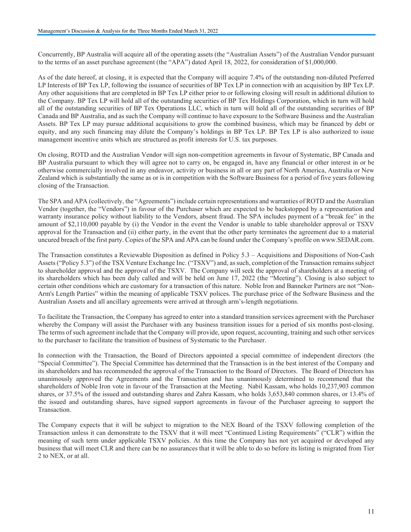Concurrently, BP Australia will acquire all of the operating assets (the "Australian Assets") of the Australian Vendor pursuant to the terms of an asset purchase agreement (the "APA") dated April 18, 2022, for consideration of \$1,000,000.

As of the date hereof, at closing, it is expected that the Company will acquire 7.4% of the outstanding non-diluted Preferred LP Interests of BP Tex LP, following the issuance of securities of BP Tex LP in connection with an acquisition by BP Tex LP. Any other acquisitions that are completed in BP Tex LP either prior to or following closing will result in additional dilution to the Company. BP Tex LP will hold all of the outstanding securities of BP Tex Holdings Corporation, which in turn will hold all of the outstanding securities of BP Tex Operations LLC, which in turn will hold all of the outstanding securities of BP Canada and BP Australia, and as such the Company will continue to have exposure to the Software Business and the Australian Assets. BP Tex LP may pursue additional acquisitions to grow the combined business, which may be financed by debt or equity, and any such financing may dilute the Company's holdings in BP Tex LP. BP Tex LP is also authorized to issue management incentive units which are structured as profit interests for U.S. tax purposes.

On closing, ROTD and the Australian Vendor will sign non-competition agreements in favour of Systematic, BP Canada and BP Australia pursuant to which they will agree not to carry on, be engaged in, have any financial or other interest in or be otherwise commercially involved in any endeavor, activity or business in all or any part of North America, Australia or New Zealand which is substantially the same as or is in competition with the Software Business for a period of five years following closing of the Transaction.

The SPA and APA (collectively, the "Agreements") include certain representations and warranties of ROTD and the Australian Vendor (together, the "Vendors") in favour of the Purchaser which are expected to be backstopped by a representation and warranty insurance policy without liability to the Vendors, absent fraud. The SPA includes payment of a "break fee" in the amount of \$2,110,000 payable by (i) the Vendor in the event the Vendor is unable to table shareholder approval or TSXV approval for the Transaction and (ii) either party, in the event that the other party terminates the agreement due to a material uncured breach of the first party. Copies of the SPA and APA can be found under the Company's profile on www.SEDAR.com.

The Transaction constitutes a Reviewable Disposition as defined in Policy 5.3 – Acquisitions and Dispositions of Non-Cash Assets ("Policy 5.3") of the TSX Venture Exchange Inc. ("TSXV") and, as such, completion of the Transaction remains subject to shareholder approval and the approval of the TSXV. The Company will seek the approval of shareholders at a meeting of its shareholders which has been duly called and will be held on June 17, 2022 (the "Meeting"). Closing is also subject to certain other conditions which are customary for a transaction of this nature. Noble Iron and Banneker Partners are not "Non-Arm's Length Parties" within the meaning of applicable TSXV polices. The purchase price of the Software Business and the Australian Assets and all ancillary agreements were arrived at through arm's-length negotiations.

To facilitate the Transaction, the Company has agreed to enter into a standard transition services agreement with the Purchaser whereby the Company will assist the Purchaser with any business transition issues for a period of six months post-closing. The terms of such agreement include that the Company will provide, upon request, accounting, training and such other services to the purchaser to facilitate the transition of business of Systematic to the Purchaser.

In connection with the Transaction, the Board of Directors appointed a special committee of independent directors (the "Special Committee"). The Special Committee has determined that the Transaction is in the best interest of the Company and its shareholders and has recommended the approval of the Transaction to the Board of Directors. The Board of Directors has unanimously approved the Agreements and the Transaction and has unanimously determined to recommend that the shareholders of Noble Iron vote in favour of the Transaction at the Meeting. Nabil Kassam, who holds 10,237,903 common shares, or 37.5% of the issued and outstanding shares and Zahra Kassam, who holds 3,653,840 common shares, or 13.4% of the issued and outstanding shares, have signed support agreements in favour of the Purchaser agreeing to support the Transaction.

The Company expects that it will be subject to migration to the NEX Board of the TSXV following completion of the Transaction unless it can demonstrate to the TSXV that it will meet "Continued Listing Requirements" ("CLR") within the meaning of such term under applicable TSXV policies. At this time the Company has not yet acquired or developed any business that will meet CLR and there can be no assurances that it will be able to do so before its listing is migrated from Tier 2 to NEX, or at all.